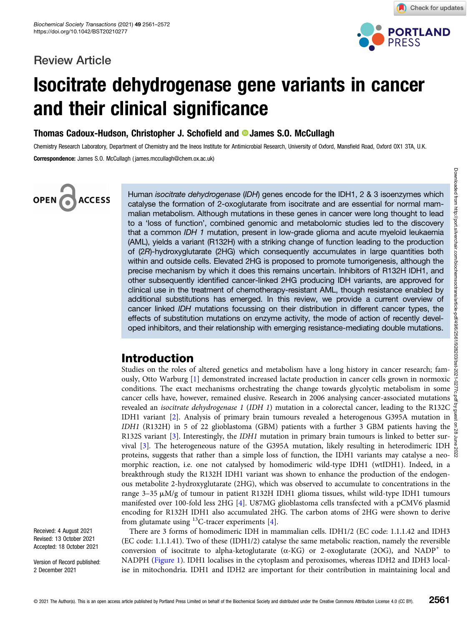### Review Article



Check for updates

# Isocitrate dehydrogenase gene variants in cancer and their clinical significance

Thomas Cadoux-Hudson, Christopher J. Schofield and **D** James S.O. McCullagh

Chemistry Research Laboratory, Department of Chemistry and the Ineos Institute for Antimicrobial Research, University of Oxford, Mansfield Road, Oxford OX1 3TA, U.K. Correspondence: James S.O. McCullagh ( james.mccullagh@chem.ox.ac.uk)

# OPEN<sub>6</sub> **ACCESS**

Human isocitrate dehydrogenase (IDH) genes encode for the IDH1, 2 & 3 isoenzymes which catalyse the formation of 2-oxoglutarate from isocitrate and are essential for normal mammalian metabolism. Although mutations in these genes in cancer were long thought to lead to a 'loss of function', combined genomic and metabolomic studies led to the discovery that a common IDH 1 mutation, present in low-grade glioma and acute myeloid leukaemia (AML), yields a variant (R132H) with a striking change of function leading to the production of (2R)-hydroxyglutarate (2HG) which consequently accumulates in large quantities both within and outside cells. Elevated 2HG is proposed to promote tumorigenesis, although the precise mechanism by which it does this remains uncertain. Inhibitors of R132H IDH1, and other subsequently identified cancer-linked 2HG producing IDH variants, are approved for clinical use in the treatment of chemotherapy-resistant AML, though resistance enabled by additional substitutions has emerged. In this review, we provide a current overview of cancer linked IDH mutations focussing on their distribution in different cancer types, the effects of substitution mutations on enzyme activity, the mode of action of recently developed inhibitors, and their relationship with emerging resistance-mediating double mutations.

# Introduction

Studies on the roles of altered genetics and metabolism have a long history in cancer research; famously, Otto Warburg [\[1\]](#page-7-0) demonstrated increased lactate production in cancer cells grown in normoxic ously, Otto Warburg [1] demonstrated increased lactate production in cancer cells grown in normoxic  $\frac{2}{6}$  conditions. The exact mechanisms orchestrating the change towards glycolytic metabolism in some  $\frac{3}{6}$ cancer cells have, however, remained elusive. Research in 2006 analysing cancer-associated mutations revealed an isocitrate dehydrogenase 1 (IDH 1) mutation in a colorectal cancer, leading to the R132C IDH1 variant [[2\]](#page-7-0). Analysis of primary brain tumours revealed a heterogenous G395A mutation in IDH1 (R132H) in 5 of 22 glioblastoma (GBM) patients with a further 3 GBM patients having the  $\frac{9}{8}$ R132S variant [[3\]](#page-7-0). Interestingly, the IDH1 mutation in primary brain tumours is linked to better sur-vival [[3](#page-7-0)]. The heterogeneous nature of the G395A mutation, likely resulting in heterodimeric IDH  $\frac{1}{\infty}$ proteins, suggests that rather than a simple loss of function, the IDH1 variants may catalyse a neomorphic reaction, i.e. one not catalysed by homodimeric wild-type IDH1 (wtIDH1). Indeed, in a breakthrough study the R132H IDH1 variant was shown to enhance the production of the endogenous metabolite 2-hydroxyglutarate (2HG), which was observed to accumulate to concentrations in the range  $3-35 \mu M/g$  of tumour in patient R132H IDH1 glioma tissues, whilst wild-type IDH1 tumours manifested over 100-fold less 2HG [\[4](#page-7-0)]. U87MG glioblastoma cells transfected with a pCMV6 plasmid encoding for R132H IDH1 also accumulated 2HG. The carbon atoms of 2HG were shown to derive from glutamate using  $^{13}$ C-tracer experiments [\[4\]](#page-7-0). Downloaded from http://port.silverchair.com/biochemsoctrans/article-pdf/49/6/2561/928203/bst-2021-0277c.pdf by guest on 28 June 2022

There are 3 forms of homodimeric IDH in mammalian cells. IDH1/2 (EC code: 1.1.1.42 and IDH3 (EC code: 1.1.1.41). Two of these (IDH1/2) catalyse the same metabolic reaction, namely the reversible conversion of isocitrate to alpha-ketoglutarate ( $\alpha$ -KG) or 2-oxoglutarate (2OG), and NADP<sup>+</sup> to NADPH [\(Figure 1](#page-1-0)). IDH1 localises in the cytoplasm and peroxisomes, whereas IDH2 and IDH3 localise in mitochondria. IDH1 and IDH2 are important for their contribution in maintaining local and

Received: 4 August 2021 Revised: 13 October 2021 Accepted: 18 October 2021

Version of Record published: 2 December 2021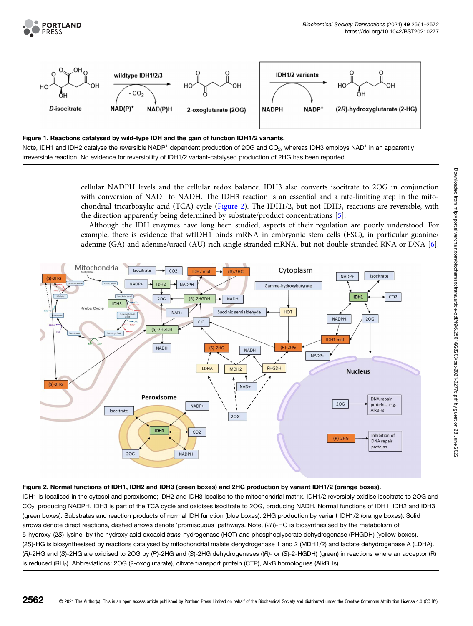<span id="page-1-0"></span>



#### Figure 1. Reactions catalysed by wild-type IDH and the gain of function IDH1/2 variants.

Note, IDH1 and IDH2 catalyse the reversible NADP<sup>+</sup> dependent production of 2OG and CO<sub>2</sub>, whereas IDH3 employs NAD<sup>+</sup> in an apparently irreversible reaction. No evidence for reversibility of IDH1/2 variant-catalysed production of 2HG has been reported.

> cellular NADPH levels and the cellular redox balance. IDH3 also converts isocitrate to 2OG in conjunction with conversion of  $NAD^+$  to NADH. The IDH3 reaction is an essential and a rate-limiting step in the mitochondrial tricarboxylic acid (TCA) cycle (Figure 2). The IDH1/2, but not IDH3, reactions are reversible, with the direction apparently being determined by substrate/product concentrations [\[5](#page-7-0)].

> Although the IDH enzymes have long been studied, aspects of their regulation are poorly understood. For example, there is evidence that wtIDH1 binds mRNA in embryonic stem cells (ESC), in particular guanine/ adenine (GA) and adenine/uracil (AU) rich single-stranded mRNA, but not double-stranded RNA or DNA [\[6](#page-7-0)].



#### Figure 2. Normal functions of IDH1, IDH2 and IDH3 (green boxes) and 2HG production by variant IDH1/2 (orange boxes).

IDH1 is localised in the cytosol and peroxisome; IDH2 and IDH3 localise to the mitochondrial matrix. IDH1/2 reversibly oxidise isocitrate to 2OG and CO<sub>2</sub>, producing NADPH. IDH3 is part of the TCA cycle and oxidises isocitrate to 2OG, producing NADH. Normal functions of IDH1, IDH2 and IDH3 (green boxes). Substrates and reaction products of normal IDH function (blue boxes). 2HG production by variant IDH1/2 (orange boxes). Solid arrows denote direct reactions, dashed arrows denote 'promiscuous' pathways. Note, (2R)-HG is biosynthesised by the metabolism of 5-hydroxy-(2S)-lysine, by the hydroxy acid oxoacid trans-hydrogenase (HOT) and phosphoglycerate dehydrogenase (PHGDH) (yellow boxes). (2S)-HG is biosynthesised by reactions catalysed by mitochondrial malate dehydrogenase 1 and 2 (MDH1/2) and lactate dehydrogenase A (LDHA). (R)-2HG and (S)-2HG are oxidised to 2OG by (R)-2HG and (S)-2HG dehydrogenases ((R)- or (S)-2-HGDH) (green) in reactions where an acceptor (R) is reduced (RH<sub>2</sub>). Abbreviations: 2OG (2-oxoglutarate), citrate transport protein (CTP), AlkB homologues (AlkBHs).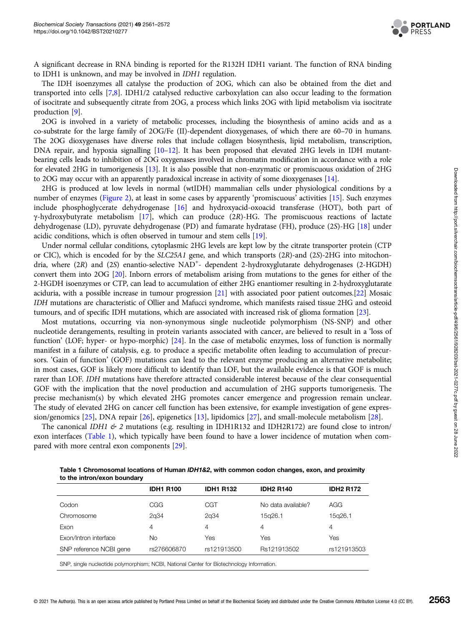

A significant decrease in RNA binding is reported for the R132H IDH1 variant. The function of RNA binding to IDH1 is unknown, and may be involved in IDH1 regulation.

The IDH isoenzymes all catalyse the production of 2OG, which can also be obtained from the diet and transported into cells [\[7,8](#page-7-0)]. IDH1/2 catalysed reductive carboxylation can also occur leading to the formation of isocitrate and subsequently citrate from 2OG, a process which links 2OG with lipid metabolism via isocitrate production [\[9](#page-7-0)].

2OG is involved in a variety of metabolic processes, including the biosynthesis of amino acids and as a co-substrate for the large family of 2OG/Fe (II)-dependent dioxygenases, of which there are 60–70 in humans. The 2OG dioxygenases have diverse roles that include collagen biosynthesis, lipid metabolism, transcription, DNA repair, and hypoxia signalling [\[10](#page-7-0)–[12](#page-7-0)]. It has been proposed that elevated 2HG levels in IDH mutantbearing cells leads to inhibition of 2OG oxygenases involved in chromatin modification in accordance with a role for elevated 2HG in tumorigenesis [[13](#page-7-0)]. It is also possible that non-enzymatic or promiscuous oxidation of 2HG to 2OG may occur with an apparently paradoxical increase in activity of some dioxygenases [\[14](#page-7-0)].

2HG is produced at low levels in normal (wtIDH) mammalian cells under physiological conditions by a number of enzymes ([Figure 2](#page-1-0)), at least in some cases by apparently 'promiscuous' activities [\[15\]](#page-7-0). Such enzymes include phosphoglycerate dehydrogenase [[16](#page-7-0)] and hydroxyacid-oxoacid transferase (HOT), both part of γ-hydroxybutyrate metabolism [\[17](#page-7-0)], which can produce (2R)-HG. The promiscuous reactions of lactate dehydrogenase (LD), pyruvate dehydrogenase (PD) and fumarate hydratase (FH), produce (2S)-HG [\[18\]](#page-7-0) under acidic conditions, which is often observed in tumour and stem cells [\[19\]](#page-7-0).

Under normal cellular conditions, cytoplasmic 2HG levels are kept low by the citrate transporter protein (CTP or CIC), which is encoded for by the SLC25A1 gene, and which transports (2R)-and (2S)-2HG into mitochondria, where (2R) and (2S) enantio-selective NAD<sup>+</sup>- dependent 2-hydroxyglutarate dehydrogenases (2-HGDH) convert them into 2OG [[20\]](#page-7-0). Inborn errors of metabolism arising from mutations to the genes for either of the 2-HGDH isoenzymes or CTP, can lead to accumulation of either 2HG enantiomer resulting in 2-hydroxyglutarate aciduria, with a possible increase in tumour progression [[21](#page-7-0)] with associated poor patient outcomes.[[22](#page-8-0)] Mosaic IDH mutations are characteristic of Ollier and Mafucci syndrome, which manifests raised tissue 2HG and osteoid tumours, and of specific IDH mutations, which are associated with increased risk of glioma formation [\[23](#page-8-0)].

Most mutations, occurring via non-synonymous single nucleotide polymorphism (NS-SNP) and other nucleotide derangements, resulting in protein variants associated with cancer, are believed to result in a 'loss of function' (LOF; hyper- or hypo-morphic) [\[24\]](#page-8-0). In the case of metabolic enzymes, loss of function is normally manifest in a failure of catalysis, e.g. to produce a specific metabolite often leading to accumulation of precursors. 'Gain of function' (GOF) mutations can lead to the relevant enzyme producing an alternative metabolite; in most cases, GOF is likely more difficult to identify than LOF, but the available evidence is that GOF is much rarer than LOF. IDH mutations have therefore attracted considerable interest because of the clear consequential GOF with the implication that the novel production and accumulation of 2HG supports tumorigenesis. The precise mechanism(s) by which elevated 2HG promotes cancer emergence and progression remain unclear. The study of elevated 2HG on cancer cell function has been extensive, for example investigation of gene expression/genomics [[25](#page-8-0)], DNA repair [\[26\]](#page-8-0), epigenetics [[13](#page-7-0)], lipidomics [\[27\]](#page-8-0), and small-molecule metabolism [\[28\]](#page-8-0).

The canonical IDH1  $\&$  2 mutations (e.g. resulting in IDH1R132 and IDH2R172) are found close to intron/ exon interfaces (Table 1), which typically have been found to have a lower incidence of mutation when compared with more central exon components [\[29\]](#page-8-0).

| Table 1 Chromosomal locations of Human IDH1&2, with common codon changes, exon, and proximity |
|-----------------------------------------------------------------------------------------------|
| to the intron/exon boundary                                                                   |

|                                                                                        | <b>IDH1 R100</b> | <b>IDH1 R132</b> | <b>IDH2 R140</b>   | <b>IDH2 R172</b> |  |
|----------------------------------------------------------------------------------------|------------------|------------------|--------------------|------------------|--|
| Codon                                                                                  | CGG              | CGT              | No data available? | AGG              |  |
| Chromosome                                                                             | 2q34             | 2q34             | 15q26.1            | 15g26.1          |  |
| Exon                                                                                   | 4                | 4                | 4                  | 4                |  |
| Exon/Intron interface                                                                  | No               | Yes              | Yes                | Yes              |  |
| SNP reference NCBI gene                                                                | rs276606870      | rs121913500      | Rs121913502        | rs121913503      |  |
| SNP single pucleotide polymorphism: NCBL National Center for Biotechnology Information |                  |                  |                    |                  |  |

SNP, single nucleotide polymorphism; NCBI, National Center for Biotechnology Information.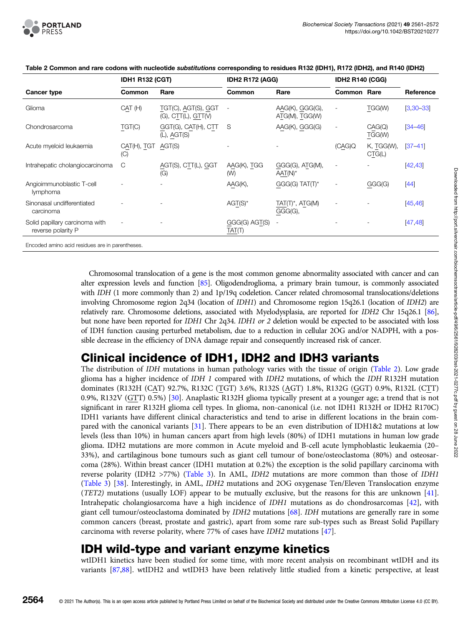

|                                                      | <b>IDH1 R132 (CGT)</b> |                                            | <b>IDH2 R172 (AGG)</b>   |                                   | <b>IDH2 R140 (CGG)</b>   |                      |             |
|------------------------------------------------------|------------------------|--------------------------------------------|--------------------------|-----------------------------------|--------------------------|----------------------|-------------|
| Cancer type                                          | Common                 | Rare                                       | Common                   | Rare                              | <b>Common Rare</b>       |                      | Reference   |
| Glioma                                               | CAT(H)                 | TGT(C), AGT(S), GGT<br>(G), CIT(L), GIT(V) | $\overline{\phantom{a}}$ | AAG(K), GGG(G),<br>ATG(M), TGG(W) | $\overline{\phantom{a}}$ | TGG(W)               | $[3,30-33]$ |
| Chondrosarcoma                                       | TGT(C)                 | GGT(G), CAT(H), CTT<br>$(L)$ , AGT $(S)$   | S                        | AAG(K), GGG(G)                    | $\overline{\phantom{a}}$ | CAG(Q)<br>TGG(W)     | $[34 - 46]$ |
| Acute myeloid leukaemia                              | CAT(H), TGT<br>(C)     | AGT(S)                                     |                          |                                   | (CAG)Q                   | K, TGG(W),<br>CTG(L) | $[37 - 41]$ |
| Intrahepatic cholangiocarcinoma                      | С                      | AGT(S), CTT(L), GGT<br>(G)                 | AAG(K), TGG<br>(W)       | GGG(G), ATG(M),<br>$AAT(N)^*$     | $\overline{\phantom{a}}$ |                      | [42, 43]    |
| Angioimmunoblastic T-cell<br>lymphoma                |                        |                                            | AAG(K),                  | $GGG(G) TAT(T)^*$                 | $\overline{\phantom{0}}$ | GGG(G)               | $[44]$      |
| Sinonasal undifferentiated<br>carcinoma              |                        |                                            | $AGT(S)^*$               | $TAT(T)^*$ , $ATG(M)$<br>GGG(G),  |                          |                      | [45, 46]    |
| Solid papillary carcinoma with<br>reverse polarity P |                        |                                            | GGG(G) AGT(S)<br>TAT(T)  |                                   |                          |                      | [47, 48]    |
| Encoded amino acid residues are in parentheses.      |                        |                                            |                          |                                   |                          |                      |             |

Table 2 Common and rare codons with nucleotide substitutions corresponding to residues R132 (IDH1), R172 (IDH2), and R140 (IDH2)

Chromosomal translocation of a gene is the most common genome abnormality associated with cancer and can alter expression levels and function [\[85\]](#page-10-0). Oligodendroglioma, a primary brain tumour, is commonly associated with IDH (1 more commonly than 2) and 1p/19q codeletion. Cancer related chromosomal translocations/deletions involving Chromosome region 2q34 (location of IDH1) and Chromosome region 15q26.1 (location of IDH2) are relatively rare. Chromosome deletions, associated with Myelodysplasia, are reported for IDH2 Chr 15q26.1 [\[86](#page-10-0)], but none have been reported for IDH1 Chr 2q34. IDH1 or 2 deletion would be expected to be associated with loss of IDH function causing perturbed metabolism, due to a reduction in cellular 2OG and/or NADPH, with a possible decrease in the efficiency of DNA damage repair and consequently increased risk of cancer.

# Clinical incidence of IDH1, IDH2 and IDH3 variants

The distribution of IDH mutations in human pathology varies with the tissue of origin (Table 2). Low grade glioma has a higher incidence of IDH 1 compared with IDH2 mutations, of which the IDH R132H mutation dominates (R132H (CAT) 92.7%, R132C (TGT) 3.6%, R132S (AGT) 1.8%, R132G (GGT) 0.9%, R132L (CTT) 0.9%, R132V (GTT) 0.5%) [[30](#page-8-0)]. Anaplastic R132H glioma typically present at a younger age; a trend that is not significant in rarer R132H glioma cell types. In glioma, non-canonical (i.e. not IDH1 R132H or IDH2 R170C) IDH1 variants have different clinical characteristics and tend to arise in different locations in the brain compared with the canonical variants [\[31](#page-8-0)]. There appears to be an even distribution of IDH1&2 mutations at low levels (less than 10%) in human cancers apart from high levels (80%) of IDH1 mutations in human low grade glioma. IDH2 mutations are more common in Acute myeloid and B-cell acute lymphoblastic leukaemia (20– 33%), and cartilaginous bone tumours such as giant cell tumour of bone/osteoclastoma (80%) and osteosarcoma (28%). Within breast cancer (IDH1 mutation at 0.2%) the exception is the solid papillary carcinoma with reverse polarity (IDH2 >77%) [\(Table 3](#page-4-0)). In AML, IDH2 mutations are more common than those of IDH1 ([Table 3\)](#page-4-0) [\[38](#page-8-0)]. Interestingly, in AML, IDH2 mutations and 2OG oxygenase Ten/Eleven Translocation enzyme (TET2) mutations (usually LOF) appear to be mutually exclusive, but the reasons for this are unknown [[41](#page-8-0)]. Intrahepatic cholangiosarcoma have a high incidence of IDH1 mutations as do chondrosarcomas [\[42](#page-8-0)], with giant cell tumour/osteoclastoma dominated by IDH2 mutations [\[68\]](#page-9-0). IDH mutations are generally rare in some common cancers (breast, prostate and gastric), apart from some rare sub-types such as Breast Solid Papillary carcinoma with reverse polarity, where 77% of cases have IDH2 mutations [[47](#page-8-0)].

# IDH wild-type and variant enzyme kinetics

wtIDH1 kinetics have been studied for some time, with more recent analysis on recombinant wtIDH and its variants [[87,88\]](#page-10-0). wtIDH2 and wtIDH3 have been relatively little studied from a kinetic perspective, at least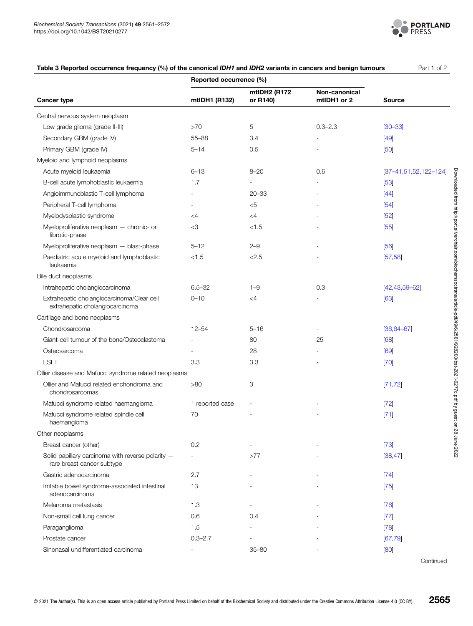

<span id="page-4-0"></span>

| Table 3 Reported occurrence frequency (%) of the canonical IDH1 and IDH2 variants in cancers and benign tumours | Part 1 of 2 |
|-----------------------------------------------------------------------------------------------------------------|-------------|
|-----------------------------------------------------------------------------------------------------------------|-------------|

|                                                                                 | Reported occurrence (%)  |                          |                              |                            |
|---------------------------------------------------------------------------------|--------------------------|--------------------------|------------------------------|----------------------------|
| <b>Cancer type</b>                                                              | mtIDH1 (R132)            | mtIDH2 (R172<br>or R140) | Non-canonical<br>mtIDH1 or 2 | <b>Source</b>              |
| Central nervous system neoplasm                                                 |                          |                          |                              |                            |
| Low grade glioma (grade II-III)                                                 | >70                      | $\overline{5}$           | $0.3 - 2.3$                  | $[30 - 33]$                |
| Secondary GBM (grade IV)                                                        | $55 - 88$                | 3.4                      |                              | $[49]$                     |
| Primary GBM (grade IV)                                                          | $5 - 14$                 | 0.5                      |                              | [50]                       |
| Myeloid and lymphoid neoplasms                                                  |                          |                          |                              |                            |
| Acute myeloid leukaemia                                                         | $6 - 13$                 | $8 - 20$                 | 0.6                          | $[37-41, 51, 52, 122-124]$ |
| B-cell acute lymphoblastic leukaemia                                            | 1.7                      |                          |                              | $[53]$                     |
| Angioimmunoblastic T-cell lymphoma                                              |                          | $20 - 33$                |                              | $[44]$                     |
| Peripheral T-cell lymphoma                                                      |                          | $<$ 5                    |                              | [54]                       |
| Myelodysplastic syndrome                                                        | $\leq$ 4                 | $\leq$ 4                 |                              | [52]                       |
| Myeloproliferative neoplasm - chronic- or<br>fibrotic-phase                     | <3                       | < 1.5                    |                              | [55]                       |
| Myeloproliferative neoplasm - blast-phase                                       | $5 - 12$                 | $2 - 9$                  |                              | [56]                       |
| Paediatric acute myeloid and lymphoblastic<br>leukaemia                         | < 1.5                    | < 2.5                    |                              | [57, 58]                   |
| Bile duct neoplasms                                                             |                          |                          |                              |                            |
| Intrahepatic cholangiocarcinoma                                                 | $6.5 - 32$               | $1 - 9$                  | 0.3                          | $[42, 43, 59 - 62]$        |
| Extrahepatic cholangiocarcinoma/Clear cell<br>extrahepatic cholangiocarcinoma   | $0 - 10$                 | $\leq 4$                 |                              | [63]                       |
| Cartilage and bone neoplasms                                                    |                          |                          |                              |                            |
| Chondrosarcoma                                                                  | $12 - 54$                | $5 - 16$                 |                              | $[36, 64 - 67]$            |
| Giant-cell tumour of the bone/Osteoclastoma                                     |                          | 80                       | 25                           | [68]                       |
| Osteosarcoma                                                                    |                          | 28                       |                              | [69]                       |
| <b>ESFT</b>                                                                     | 3.3                      | 3.3                      |                              | $[70]$                     |
| Ollier disease and Mafucci syndrome related neoplasms                           |                          |                          |                              |                            |
| Ollier and Mafucci related enchondroma and<br>chondrosarcomas                   | >80                      | 3                        |                              | [71, 72]                   |
| Mafucci syndrome related haemangioma                                            | 1 reported case          | ÷,                       |                              | $[72]$                     |
| Mafucci syndrome related spindle cell<br>haemangioma                            | 70                       |                          |                              | $[71]$                     |
| Other neoplasms                                                                 |                          |                          |                              |                            |
| Breast cancer (other)                                                           | 0.2                      |                          |                              | $[73]$                     |
| Solid papillary carcinoma with reverse polarity -<br>rare breast cancer subtype |                          | >77                      |                              | [38, 47]                   |
| Gastric adenocarcinoma                                                          | 2.7                      |                          |                              | $[74]$                     |
| Irritable bowel syndrome-associated intestinal<br>adenocarcinoma                | 13                       |                          |                              | $[75]$                     |
| Melanoma metastasis                                                             | 1.3                      |                          |                              | [76]                       |
| Non-small cell lung cancer                                                      | 0.6                      | 0.4                      |                              | $[77]$                     |
| Paraganglioma                                                                   | 1.5                      |                          |                              | [78]                       |
| Prostate cancer                                                                 | $0.3 - 2.7$              |                          |                              | [67, 79]                   |
| Sinonasal undifferentiated carcinoma                                            | $\overline{\phantom{a}}$ | $35 - 80$                |                              | [80]                       |

**Continued**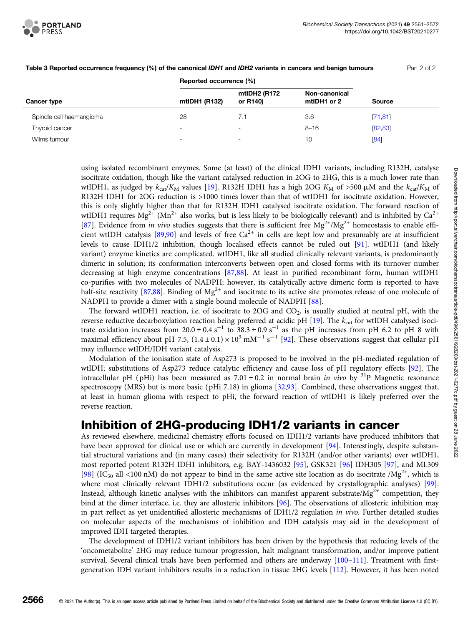

|                          | Reported occurrence (%)  |                          |                              |               |
|--------------------------|--------------------------|--------------------------|------------------------------|---------------|
| <b>Cancer type</b>       | mtIDH1 (R132)            | mtIDH2 (R172<br>or R140) | Non-canonical<br>mtIDH1 or 2 | <b>Source</b> |
| Spindle cell haemangioma | 28                       | 7.1                      | 3.6                          | [71, 81]      |
| Thyroid cancer           | $\overline{\phantom{a}}$ |                          | $8 - 16$                     | [82, 83]      |
| Wilms tumour             | $\overline{\phantom{a}}$ | ۰                        | 10                           | [84]          |

Table 3 Reported occurrence frequency (%) of the canonical IDH1 and IDH2 variants in cancers and benign tumours Part 2 of 2

using isolated recombinant enzymes. Some (at least) of the clinical IDH1 variants, including R132H, catalyse isocitrate oxidation, though like the variant catalysed reduction in 2OG to 2HG, this is a much lower rate than wtIDH1, as judged by  $k_{cat}/K_M$  values [[19](#page-7-0)]. R132H IDH1 has a high 2OG  $K_M$  of >500  $\mu$ M and the  $k_{cat}/K_M$  of R132H IDH1 for 2OG reduction is >1000 times lower than that of wtIDH1 for isocitrate oxidation. However, this is only slightly higher than that for R132H IDH1 catalysed isocitrate oxidation. The forward reaction of wtIDH1 requires Mg<sup>2+</sup> (Mn<sup>2+</sup> also works, but is less likely to be biologically relevant) and is inhibited by Ca<sup>2+</sup> [[87](#page-10-0)]. Evidence from in vivo studies suggests that there is sufficient free  $Mg^{2+}/Mg^{2+}$  homeostasis to enable effi-cient wtIDH catalysis [\[89,90\]](#page-10-0) and levels of free  $Ca^{2+}$  in cells are kept low and presumably are at insufficient levels to cause IDH1/2 inhibition, though localised effects cannot be ruled out [[91](#page-10-0)]. wtIDH1 (and likely variant) enzyme kinetics are complicated. wtIDH1, like all studied clinically relevant variants, is predominantly dimeric in solution; its conformation interconverts between open and closed forms with its turnover number decreasing at high enzyme concentrations [[87,88](#page-10-0)]. At least in purified recombinant form, human wtIDH1 co-purifies with two molecules of NADPH; however, its catalytically active dimeric form is reported to have half-site reactivity [[87,88\]](#page-10-0). Binding of  $Mg^{2+}$  and isocitrate to its active site promotes release of one molecule of NADPH to provide a dimer with a single bound molecule of NADPH [\[88\]](#page-10-0).

The forward wtIDH1 reaction, i.e. of isocitrate to 2OG and  $CO<sub>2</sub>$ , is usually studied at neutral pH, with the reverse reductive decarboxylation reaction being preferred at acidic pH  $[19]$  $[19]$  $[19]$ . The  $k_{\text{cat}}$  for wtIDH catalysed isocitrate oxidation increases from  $20.0 \pm 0.4 \text{ s}^{-1}$  to  $38.3 \pm 0.9 \text{ s}^{-1}$  as the pH increases from pH 6.2 to pH 8 with maximal efficiency about pH 7.5,  $(1.4 \pm 0.1) \times 10^3$  mM<sup>-1</sup> s<sup>-1</sup> [\[92\]](#page-10-0). These observations suggest that cellular pH may influence wtIDH/IDH variant catalysis.

Modulation of the ionisation state of Asp273 is proposed to be involved in the pH-mediated regulation of wtIDH; substitutions of Asp273 reduce catalytic efficiency and cause loss of pH regulatory effects [[92](#page-10-0)]. The intracellular pH (pHi) has been measured as  $7.01 \pm 0.2$  in normal brain in vivo by <sup>31</sup>P Magnetic resonance spectroscopy (MRS) but is more basic ( pHi 7.18) in glioma [[32](#page-8-0)[,93\]](#page-10-0). Combined, these observations suggest that, at least in human glioma with respect to pHi, the forward reaction of wtIDH1 is likely preferred over the reverse reaction.

# Inhibition of 2HG-producing IDH1/2 variants in cancer

As reviewed elsewhere, medicinal chemistry efforts focused on IDH1/2 variants have produced inhibitors that have been approved for clinical use or which are currently in development [[94](#page-10-0)]. Interestingly, despite substantial structural variations and (in many cases) their selectivity for R132H (and/or other variants) over wtIDH1, most reported potent R132H IDH1 inhibitors, e.g. BAY-1436032 [[95\]](#page-10-0), GSK321 [\[96\]](#page-10-0) IDH305 [\[97\]](#page-10-0), and ML309 [[98](#page-10-0)] (IC<sub>50</sub> all <100 nM) do not appear to bind in the same active site location as do isocitrate /Mg<sup>2+</sup>, which is where most clinically relevant IDH1/2 substitutions occur (as evidenced by crystallographic analyses) [[99](#page-10-0)]. Instead, although kinetic analyses with the inhibitors can manifest apparent substrate/ $Mg^{2+}$  competition, they bind at the dimer interface, i.e. they are allosteric inhibitors [[96](#page-10-0)]. The observations of allosteric inhibition may in part reflect as yet unidentified allosteric mechanisms of IDH1/2 regulation in vivo. Further detailed studies on molecular aspects of the mechanisms of inhibition and IDH catalysis may aid in the development of improved IDH targeted therapies.

The development of IDH1/2 variant inhibitors has been driven by the hypothesis that reducing levels of the 'oncometabolite' 2HG may reduce tumour progression, halt malignant transformation, and/or improve patient survival. Several clinical trials have been performed and others are underway [\[100](#page-10-0)–[111](#page-11-0)]. Treatment with firstgeneration IDH variant inhibitors results in a reduction in tissue 2HG levels [[112\]](#page-11-0). However, it has been noted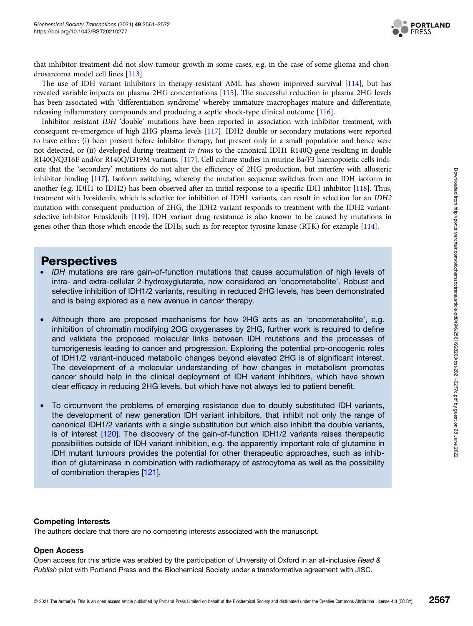

that inhibitor treatment did not slow tumour growth in some cases, e.g. in the case of some glioma and chondrosarcoma model cell lines [[113\]](#page-11-0)

The use of IDH variant inhibitors in therapy-resistant AML has shown improved survival [[114](#page-11-0)], but has revealed variable impacts on plasma 2HG concentrations [\[115\]](#page-11-0). The successful reduction in plasma 2HG levels has been associated with 'differentiation syndrome' whereby immature macrophages mature and differentiate, releasing inflammatory compounds and producing a septic shock-type clinical outcome [\[116](#page-11-0)].

Inhibitor resistant IDH 'double' mutations have been reported in association with inhibitor treatment, with consequent re-emergence of high 2HG plasma levels [[117](#page-11-0)]. IDH2 double or secondary mutations were reported to have either: (i) been present before inhibitor therapy, but present only in a small population and hence were not detected, or (ii) developed during treatment in trans to the canonical IDH1 R140Q gene resulting in double R140Q/Q316E and/or R140Q/I319M variants. [\[117](#page-11-0)]. Cell culture studies in murine Ba/F3 haemopoietic cells indicate that the 'secondary' mutations do not alter the efficiency of 2HG production, but interfere with allosteric inhibitor binding [\[117](#page-11-0)]. Isoform switching, whereby the mutation sequence switches from one IDH isoform to another (e.g. IDH1 to IDH2) has been observed after an initial response to a specific IDH inhibitor [\[118](#page-11-0)]. Thus, treatment with Ivosidenib, which is selective for inhibition of IDH1 variants, can result in selection for an IDH2 mutation with consequent production of 2HG, the IDH2 variant responds to treatment with the IDH2 variantselective inhibitor Enasidenib [\[119](#page-11-0)]. IDH variant drug resistance is also known to be caused by mutations in genes other than those which encode the IDHs, such as for receptor tyrosine kinase (RTK) for example [[114\]](#page-11-0).

### **Perspectives**

- IDH mutations are rare gain-of-function mutations that cause accumulation of high levels of intra- and extra-cellular 2-hydroxyglutarate, now considered an 'oncometabolite'. Robust and selective inhibition of IDH1/2 variants, resulting in reduced 2HG levels, has been demonstrated and is being explored as a new avenue in cancer therapy.
- Although there are proposed mechanisms for how 2HG acts as an 'oncometabolite', e.g. inhibition of chromatin modifying 2OG oxygenases by 2HG, further work is required to define and validate the proposed molecular links between IDH mutations and the processes of tumorigenesis leading to cancer and progression. Exploring the potential pro-oncogenic roles of IDH1/2 variant-induced metabolic changes beyond elevated 2HG is of significant interest. The development of a molecular understanding of how changes in metabolism promotes cancer should help in the clinical deployment of IDH variant inhibitors, which have shown clear efficacy in reducing 2HG levels, but which have not always led to patient benefit.
- To circumvent the problems of emerging resistance due to doubly substituted IDH variants, the development of new generation IDH variant inhibitors, that inhibit not only the range of canonical IDH1/2 variants with a single substitution but which also inhibit the double variants, is of interest [[120](#page-11-0)]. The discovery of the gain-of-function IDH1/2 variants raises therapeutic possibilities outside of IDH variant inhibition, e.g. the apparently important role of glutamine in IDH mutant tumours provides the potential for other therapeutic approaches, such as inhibition of glutaminase in combination with radiotherapy of astrocytoma as well as the possibility of combination therapies [[121](#page-11-0)].

#### Competing Interests

The authors declare that there are no competing interests associated with the manuscript.

### Open Access

Open access for this article was enabled by the participation of University of Oxford in an all-inclusive Read & Publish pilot with Portland Press and the Biochemical Society under a transformative agreement with JISC.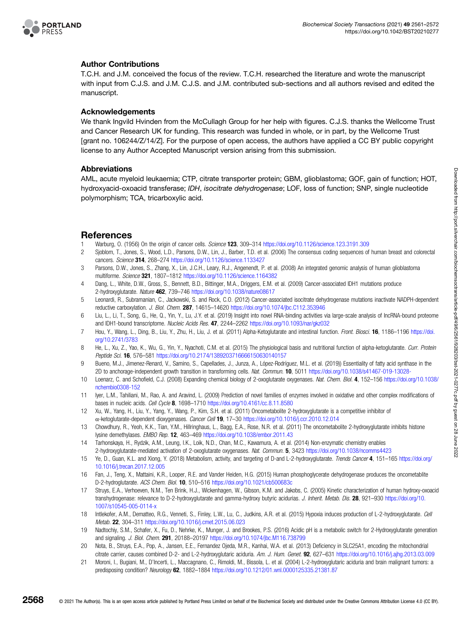<span id="page-7-0"></span>

#### Author Contributions

T.C.H. and J.M. conceived the focus of the review. T.C.H. researched the literature and wrote the manuscript with input from C.J.S. and J.M. C.J.S. and J.M. contributed sub-sections and all authors revised and edited the manuscript.

#### Acknowledgements

We thank Ingvild Hvinden from the McCullagh Group for her help with figures. C.J.S. thanks the Wellcome Trust and Cancer Research UK for funding. This research was funded in whole, or in part, by the Wellcome Trust [grant no. 106244/Z/14/Z]. For the purpose of open access, the authors have applied a CC BY public copyright license to any Author Accepted Manuscript version arising from this submission.

#### Abbreviations

AML, acute myeloid leukaemia; CTP, citrate transporter protein; GBM, glioblastoma; GOF, gain of function; HOT, hydroxyacid-oxoacid transferase; IDH, isocitrate dehydrogenase; LOF, loss of function; SNP, single nucleotide polymorphism; TCA, tricarboxylic acid.

### References

- 1 Warburg, O. (1956) On the origin of cancer cells. Science 123, 309–314 <https://doi.org/10.1126/science.123.3191.309>
- 2 Sjoblom, T., Jones, S., Wood, L.D., Parsons, D.W., Lin, J., Barber, T.D. et al. (2006) The consensus coding sequences of human breast and colorectal cancers. Science 314, 268–274 <https://doi.org/10.1126/science.1133427>
- 3 Parsons, D.W., Jones, S., Zhang, X., Lin, J.C.H., Leary, R.J., Angenendt, P. et al. (2008) An integrated genomic analysis of human glioblastoma multiforme. Science 321, 1807–1812 <https://doi.org/10.1126/science.1164382>
- 4 Dang, L., White, D.W., Gross, S., Bennett, B.D., Bittinger, M.A., Driggers, E.M. et al. (2009) Cancer-associated IDH1 mutations produce 2-hydroxyglutarate. Nature 462, 739–746 <https://doi.org/10.1038/nature08617>
- 5 Leonardi, R., Subramanian, C., Jackowski, S. and Rock, C.O. (2012) Cancer-associated isocitrate dehydrogenase mutations inactivate NADPH-dependent reductive carboxylation. J. Biol. Chem. 287, 14615–14620 <https://doi.org/10.1074/jbc.C112.353946>
- 6 Liu, L., Li, T., Song, G., He, Q., Yin, Y., Lu, J.Y. et al. (2019) Insight into novel RNA-binding activities via large-scale analysis of IncRNA-bound proteome and IDH1-bound transcriptome. Nucleic Acids Res. 47, 2244–2262 <https://doi.org/10.1093/nar/gkz032>
- 7 Hou, Y., Wang, L., Ding, B., Liu, Y., Zhu, H., Liu, J. et al. (2011) Alpha-Ketoglutarate and intestinal function. Front. Biosci. 16, 1186-1196 [https://doi.](https://doi.org/10.2741/3783) [org/10.2741/3783](https://doi.org/10.2741/3783)
- 8 He, L., Xu, Z., Yao, K., Wu, G., Yin, Y., Nyachoti, C.M. et al. (2015) The physiological basis and nutritional function of alpha-ketoglutarate. Curr. Protein Peptide Sci. 16, 576–581 <https://doi.org/10.2174/1389203716666150630140157>
- 9 Bueno, M.J., Jimenez-Renard, V., Samino, S., Capellades, J., Junza, A., López-Rodríguez, M.L. et al. (2019)) Essentiality of fatty acid synthase in the 2D to anchorage-independent growth transition in transforming cells. Nat. Commun. 10, 5011 <https://doi.org/10.1038/s41467-019-13028->
- 10 Loenarz, C. and Schofield, C.J. (2008) Expanding chemical biology of 2-oxoglutarate oxygenases. Nat. Chem. Biol. 4, 152–156 [https://doi.org/10.1038/](https://doi.org/10.1038/nchembio0308-152) [nchembio0308-152](https://doi.org/10.1038/nchembio0308-152)
- 11 Iyer, L.M., Tahiliani, M., Rao, A. and Aravind, L. (2009) Prediction of novel families of enzymes involved in oxidative and other complex modifications of bases in nucleic acids. Cell Cycle 8, 1698–1710 <https://doi.org/10.4161/cc.8.11.8580>
- 12 Xu, W., Yang, H., Liu, Y., Yang, Y., Wang, P., Kim, S.H. et al. (2011) Oncometabolite 2-hydroxyglutarate is a competitive inhibitor of α-ketoglutarate-dependent dioxygenases. Cancer Cell 19, 17–30 <https://doi.org/10.1016/j.ccr.2010.12.014>
- 13 Chowdhury, R., Yeoh, K.K., Tian, Y.M., Hillringhaus, L., Bagg, E.A., Rose, N.R. et al. (2011) The oncometabolite 2-hydroxyglutarate inhibits histone lysine demethylases. EMBO Rep. 12, 463–469 <https://doi.org/10.1038/embor.2011.43>
- 14 Tarhonskaya, H., Rydzik, A.M., Leung, I.K., Loik, N.D., Chan, M.C., Kawamura, A. et al. (2014) Non-enzymatic chemistry enables 2-hydroxyglutarate-mediated activation of 2-oxoglutarate oxygenases. Nat. Commun. 5, 3423 <https://doi.org/10.1038/ncomms4423>
- 15 Ye, D., Guan, K.L. and Xiong, Y. (2018) Metabolism, activity, and targeting of D-and L-2-hydroxyglutarate. Trends Cancer 4, 151–165 [https://doi.org/](https://doi.org/10.1016/j.trecan.2017.12.005) [10.1016/j.trecan.2017.12.005](https://doi.org/10.1016/j.trecan.2017.12.005)
- 16 Fan, J., Teng, X., Mattaini, K.R., Looper, R.E. and Vander Heiden, H.G. (2015) Human phosphoglycerate dehydrogenase produces the oncometablite D-2-hydroglutarate. ACS Chem. Biol. 10, 510–516 <https://doi.org/10.1021/cb500683c>
- 17 Struys, E.A., Verhoeven, N.M., Ten Brink, H.J., Wickenhagen, W., Gibson, K.M. and Jakobs, C. (2005) Kinetic characterization of human hydroxy-oxoacid transhydrogenase: relevance to D-2-hydroxyglutarate and gamma-hydroxy butyric acidurias. J. Inherit. Metab. Dis. 28, 921-930 [https://doi.org/10.](https://doi.org/10.1007/s10545-005-0114-x) [1007/s10545-005-0114-x](https://doi.org/10.1007/s10545-005-0114-x)
- 18 Intlekofer, A.M., Dematteo, R.G., Venneti, S., Finley, L.W., Lu, C., Judkins, A.R. et al. (2015) Hypoxia induces production of L-2-hydroxyglutarate. Cell Metab. 22, 304–311 <https://doi.org/10.1016/j.cmet.2015.06.023>
- 19 Nadtochiy, S.M., Schafer, X., Fu, D., Nehrke, K., Munger, J. and Brookes, P.S. (2016) Acidic pH is a metabolic switch for 2-Hydroxyglutarate generation and signaling. J. Biol. Chem. 291, 20188–20197 <https://doi.org/10.1074/jbc.M116.738799>
- 20 Nota, B., Struys, E.A., Pop, A., Jansen, E.E., Fernandez Ojeda, M.R., Kanhai, W.A. et al. (2013) Deficiency in SLC25A1, encoding the mitochondrial citrate carrier, causes combined D-2- and L-2-hydroxyglutaric aciduria. Am. J. Hum. Genet. 92, 627–631 <https://doi.org/10.1016/j.ajhg.2013.03.009>
- 21 Moroni, I., Bugiani, M., D'Incerti, L., Maccagnano, C., Rimoldi, M., Bissola, L. et al. (2004) L-2-hydroxyglutaric aciduria and brain malignant tumors: a predisposing condition? Neurology 62, 1882–1884 <https://doi.org/10.1212/01.wnl.0000125335.21381.87>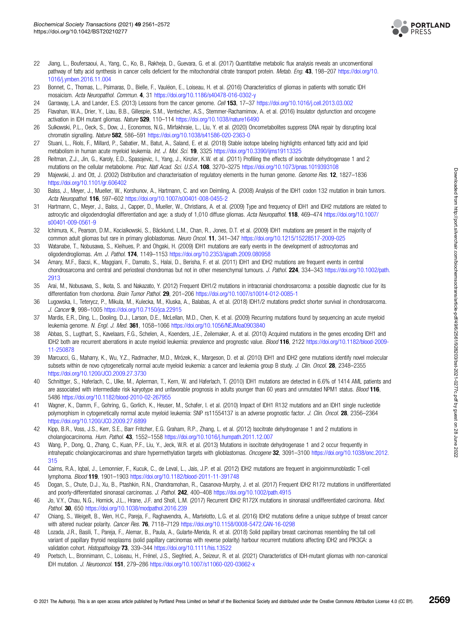

- <span id="page-8-0"></span>22 Jiang, L., Boufersaoui, A., Yang, C., Ko, B., Rakheja, D., Guevara, G. et al. (2017) Quantitative metabolic flux analysis reveals an unconventional pathway of fatty acid synthesis in cancer cells deficient for the mitochondrial citrate transport protein. Metab. Eng. 43, 198-207 [https://doi.org/10.](https://doi.org/10.1016/j.ymben.2016.11.004) [1016/j.ymben.2016.11.004](https://doi.org/10.1016/j.ymben.2016.11.004)
- 23 Bonnet, C., Thomas, L., Psimaras, D., Bielle, F., Vauléon, E., Loiseau, H. et al. (2016) Characteristics of gliomas in patients with somatic IDH mosaicism. Acta Neuropathol. Commun. 4, 31 <https://doi.org/10.1186/s40478-016-0302-y>
- 24 Garraway, L.A. and Lander, E.S. (2013) Lessons from the cancer genome. Cell 153, 17–37 <https://doi.org/10.1016/j.cell.2013.03.002>
- 25 Flavahan, W.A., Drier, Y., Liau, B.B., Gillespie, S.M., Venteicher, A.S., Stemmer-Rachamimov, A. et al. (2016) Insulator dysfunction and oncogene activation in IDH mutant gliomas. Nature 529, 110–114 <https://doi.org/10.1038/nature16490>
- 26 Sulkowski, P.L., Oeck, S., Dow, J., Economos, N.G., Mirfakhraie, L., Liu, Y. et al. (2020) Oncometabolites suppress DNA repair by disrupting local chromatin signalling. Nature 582, 586–591 <https://doi.org/10.1038/s41586-020-2363-0>
- 27 Stuani, L., Riols, F., Millard, P., Sabatier, M., Batut, A., Saland, E. et al. (2018) Stable isotope labeling highlights enhanced fatty acid and lipid metabolism in human acute myeloid leukemia. Int. J. Mol. Sci. 19, 3325 <https://doi.org/10.3390/ijms19113325>
- 28 Reitman, Z.J., Jin, G., Karoly, E.D., Spasojevic, I., Yang, J., Kinzler, K.W. et al. (2011) Profiling the effects of isocitrate dehydrogenase 1 and 2 mutations on the cellular metabolome. Proc. Natl Acad. Sci. U.S.A. 108, 3270–3275 <https://doi.org/10.1073/pnas.1019393108>
- 29 Majewski, J. and Ott, J. (2002) Distribution and characterisation of regulatory elements in the human genome. Genome Res. 12, 1827–1836 <https://doi.org/10.1101/gr.606402>
- 30 Balss, J., Meyer, J., Mueller, W., Korshunov, A., Hartmann, C. and von Deimling, A. (2008) Analysis of the IDH1 codon 132 mutation in brain tumors. Acta Neuropathol. 116, 597–602 <https://doi.org/10.1007/s00401-008-0455-2>
- 31 Hartmann, C., Meyer, J., Balss, J., Capper, D., Mueller, W., Christians, A. et al. (2009) Type and frequency of IDH1 and IDH2 mutations are related to astrocytic and oligodendroglial differentiation and age: a study of 1,010 diffuse gliomas. Acta Neuropathol. 118, 469–474 [https://doi.org/10.1007/](https://doi.org/10.1007/s00401-009-0561-9) [s00401-009-0561-9](https://doi.org/10.1007/s00401-009-0561-9)
- 32 Ichimura, K., Pearson, D.M., Kocialkowski, S., Bäcklund, L.M., Chan, R., Jones, D.T. et al. (2009) IDH1 mutations are present in the majority of common adult gliomas but rare in primary glioblastomas. Neuro Oncol. 11, 341-347 <https://doi.org/10.1215/15228517-2009-025>
- 33 Watanabe, T., Nobusawa, S., Kleihues, P. and Ohgaki, H. (2009) IDH1 mutations are early events in the development of astrocytomas and oligodendrogliomas. Am. J. Pathol. 174, 1149–1153 <https://doi.org/10.2353/ajpath.2009.080958>
- 34 Amary, M.F., Bacsi, K., Maggiani, F., Damato, S., Halai, D., Berisha, F. et al. (2011) IDH1 and IDH2 mutations are frequent events in central chondrosarcoma and central and periosteal chondromas but not in other mesenchymal tumours. J. Pathol. 224, 334–343 [https://doi.org/10.1002/path.](https://doi.org/10.1002/path.2913) [2913](https://doi.org/10.1002/path.2913)
- 35 Arai, M., Nobusawa, S., Ikota, S. and Nakazato, Y. (2012) Frequent IDH1/2 mutations in intracranial chondrosarcoma: a possible diagnostic clue for its differentiation from chordoma. Brain Tumor Pathol. 29, 201-206 <https://doi.org/10.1007/s10014-012-0085-1>
- 36 Lugowska, I., Teterycz, P., Mikula, M., Kulecka, M., Kluska, A., Balabas, A. et al. (2018) IDH1/2 mutations predict shorter survival in chondrosarcoma. J. Cancer 9, 998–1005 <https://doi.org/10.7150/jca.22915>
- 37 Mardis, E.R., Ding, L., Dooling, D.J., Larson, D.E., McLellan, M.D., Chen, K. et al. (2009) Recurring mutations found by sequencing an acute myeloid leukemia genome. N. Engl. J. Med. 361, 1058-1066 <https://doi.org/10.1056/NEJMoa0903840>
- 38 Abbas, S., Lugthart, S., Kavelaars, F.G., Schelen, A., Koenders, J.E., Zeilemaker, A. et al. (2010) Acquired mutations in the genes encoding IDH1 and IDH2 both are recurrent aberrations in acute myeloid leukemia: prevalence and prognostic value. Blood 116, 2122 [https://doi.org/10.1182/blood-2009-](https://doi.org/10.1182/blood-2009-11-250878) [11-250878](https://doi.org/10.1182/blood-2009-11-250878)
- 39 Marcucci, G., Maharry, K., Wu, Y.Z., Radmacher, M.D., Mrózek, K., Margeson, D. et al. (2010) IDH1 and IDH2 gene mutations identify novel molecular subsets within de novo cytogenetically normal acute myeloid leukemia: a cancer and leukemia group B study. J. Clin. Oncol. 28, 2348–2355 <https://doi.org/10.1200/JCO.2009.27.3730>
- 40 Schnittger, S., Haferlach, C., Ulke, M., Aplerman, T., Kern, W. and Haferlach, T. (2010) IDH1 mutations are detected in 6.6% of 1414 AML patients and are associated with intermediate risk karyotype and unfavorable prognosis in adults younger than 60 years and unmutated NPM1 status. Blood 116, 5486 <https://doi.org/10.1182/blood-2010-02-267955>
- 41 Wagner, K., Damm, F., Gohring, G., Gorlich, K., Heuser, M., Schafer, I. et al. (2010) Impact of IDH1 R132 mutations and an IDH1 single nucleotide polymorphism in cytogenetically normal acute myeloid leukemia: SNP rs11554137 is an adverse prognostic factor. J. Clin. Oncol. 28, 2356–2364 <https://doi.org/10.1200/JCO.2009.27.6899>
- 42 Kipp, B.R., Voss, J.S., Kerr, S.E., Barr Fritcher, E.G. Graham, R.P., Zhang, L. et al. (2012) Isocitrate dehydrogenase 1 and 2 mutations in cholangiocarcinoma. Hum. Pathol. 43, 1552–1558 <https://doi.org/10.1016/j.humpath.2011.12.007>
- 43 Wang, P., Dong, Q., Zhang, C., Kuan, P.F., Liu, Y., Jeck, W.R. et al. (2013) Mutations in isocitrate dehydrogenase 1 and 2 occur frequently in intrahepatic cholangiocarcinomas and share hypermethylation targets with glioblastomas. Oncogene 32, 3091-3100 [https://doi.org/10.1038/onc.2012.](https://doi.org/10.1038/onc.2012.315) [315](https://doi.org/10.1038/onc.2012.315)
- 44 Cairns, R.A., Iqbal, J., Lemonnier, F., Kucuk, C., de Leval, L., Jais, J.P. et al. (2012) IDH2 mutations are frequent in angioimmunoblastic T-cell lymphoma. Blood 119, 1901–1903 <https://doi.org/10.1182/blood-2011-11-391748>
- 45 Dogan, S., Chute, D.J., Xu, B., Ptashkin, R.N., Chandramohan, R., Casanova-Murphy, J. et al. (2017) Frequent IDH2 R172 mutations in undifferentiated and poorly-differentiated sinonasal carcinomas. J. Pathol. 242, 400–408 <https://doi.org/10.1002/path.4915>
- 46 Jo, V.Y., Chau, N.G., Hornick, J.L., Hrane, J.F. and Sholl, L.M. (2017) Recurrent IDH2 R172X mutations in sinonasal undifferentiated carcinoma. Mod. Pathol. 30, 650 <https://doi.org/10.1038/modpathol.2016.239>
- 47 Chiang, S., Weigelt, B., Wen, H.C., Pareja, F., Raghavendra, A., Martelotto, L.G. et al. (2016) IDH2 mutations define a unique subtype of breast cancer with altered nuclear polarity. Cancer Res. 76, 7118-7129 <https://doi.org/10.1158/0008-5472.CAN-16-0298>
- 48 Lozada, J.R., Basili, T., Pareja, F., Alemar, B., Paula, A., Gularte-Merida, R. et al. (2018) Solid papillary breast carcinomas resembling the tall cell variant of papillary thyroid neoplasms (solid papillary carcinomas with reverse polarity) harbour recurrent mutations affecting IDH2 and PIK3CA: a validation cohort. Histopathology 73, 339-344 <https://doi.org/10.1111/his.13522>
- 49 Poetsch, L., Bronnimann, C., Loiseau, H., Frénel, J.S., Siegfried, A., Seizeur, R. et al. (2021) Characteristics of IDH-mutant gliomas with non-canonical IDH mutation. J. Neurooncol. 151, 279–286 <https://doi.org/10.1007/s11060-020-03662-x>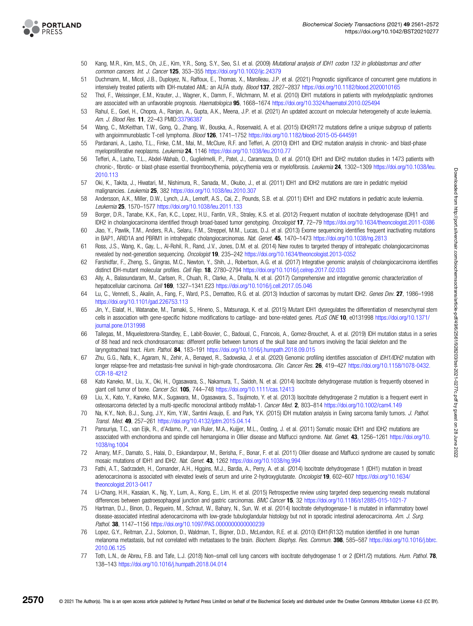<span id="page-9-0"></span>

- 50 Kang, M.R., Kim, M.S., Oh, J.E., Kim, Y.R., Song, S.Y., Seo, S.I. et al. (2009) Mutational analysis of IDH1 codon 132 in glioblastomas and other common cancers. Int. J. Cancer 125, 353–355 <https://doi.org/10.1002/ijc.24379>
- 51 Duchmann, M., Micol, J.B., Duployez, N., Raffoux, E., Thomas, X., Marolleau, J.P. et al. (2021) Prognostic significance of concurrent gene mutations in intensively treated patients with IDH-mutated AML: an ALFA study. Blood 137, 2827–2837 <https://doi.org/10.1182/blood.2020010165>
- 52 Thol, F., Weissinger, E.M., Krauter, J., Wagner, K., Damm, F., Wichmann, M. et al. (2010) IDH1 mutations in patients with myelodysplastic syndromes are associated with an unfavorable prognosis. Haematologica 95, 1668-1674 <https://doi.org/10.3324/haematol.2010.025494>
- 53 Rahul, E., Goel, H., Chopra, A., Ranjan, A., Gupta, A.K., Meena, J.P. et al. (2021) An updated account on molecular heterogeneity of acute leukemia. Am. J. Blood Res. **11**, 22-43 PMID[:33796387](http://www.ncbi.nlm.nih.gov/pubmed/33796387)
- 54 Wang, C., McKeithan, T.W., Gong, Q., Zhang, W., Bouska, A., Rosenwald, A. et al. (2015) IDH2R172 mutations define a unique subgroup of patients with angioimmunoblastic T-cell lymphoma. Blood 126, 1741-1752 <https://doi.org/10.1182/blood-2015-05-644591>
- 55 Pardanani, A., Lasho, T.L., Finke, C.M., Mai, M., McClure, R.F. and Tefferi, A. (2010) IDH1 and IDH2 mutation analysis in chronic- and blast-phase myeloproliferative neoplasms. Leukemia 24, 1146 <https://doi.org/10.1038/leu.2010.77>
- 56 Tefferi, A., Lasho, T.L., Abdel-Wahab, O., Guglielmelli, P., Patel, J., Caramazza, D. et al. (2010) IDH1 and IDH2 mutation studies in 1473 patients with chronic-, fibrotic- or blast-phase essential thrombocythemia, polycythemia vera or myelofibrosis. Leukemia 24, 1302-1309 [https://doi.org/10.1038/leu.](https://doi.org/10.1038/leu.2010.113) [2010.113](https://doi.org/10.1038/leu.2010.113)
- 57 Oki, K., Takita, J., Hiwatari, M., Nishimura, R., Sanada, M., Okubo, J., et al. (2011) IDH1 and IDH2 mutations are rare in pediatric myeloid malignancies. Leukemia 25, 382 <https://doi.org/10.1038/leu.2010.307>
- 58 Andersson, A.K., Miller, D.W., Lynch, J.A., Lemoff, A.S., Cai, Z., Pounds, S.B. et al. (2011) IDH1 and IDH2 mutations in pediatric acute leukemia. Leukemia 25, 1570–1577 <https://doi.org/10.1038/leu.2011.133>
- 59 Borger, D.R., Tanabe, K.K., Fan, K.C., Lopez, H.U., Fantin, V.R., Straley, K.S. et al. (2012) Frequent mutation of isocitrate dehydrogenase (IDH)1 and IDH2 in cholangiocarcinoma identified through broad-based tumor genotyping. Oncologist 17, 72-79 <https://doi.org/10.1634/theoncologist.2011-0386>
- 60 Jiao, Y., Pawlik, T.M., Anders, R.A., Selaru, F.M., Streppel, M.M., Lucas, D.J. et al. (2013) Exome sequencing identifies frequent inactivating mutations in BAP1, ARID1A and PBRM1 in intrahepatic cholangiocarcinomas. Nat. Genet. 45, 1470-1473 <https://doi.org/10.1038/ng.2813>
- 61 Ross, J.S., Wang, K., Gay, L., Al-Rohil, R., Rand, J.V., Jones, D.M. et al. (2014) New routes to targeted therapy of intrahepatic cholangiocarcinomas revealed by next-generation sequencing. Oncologist 19, 235–242 <https://doi.org/10.1634/theoncologist.2013-0352>
- 62 Farshidfar, F., Zheng, S., Gingras, M.C., Newton, Y., Shih, J., Robertson, A.G. et al. (2017) Integrative genomic analysis of cholangiocarcinoma identifies distinct IDH-mutant molecular profiles. Cell Rep. 18, 2780–2794 <https://doi.org/10.1016/j.celrep.2017.02.033>
- 63 Ally, A., Balasundaram, M., Carlsen, R., Chuah, R., Clarke, A., Dhalla, N. et al. (2017) Comprehensive and integrative genomic characterization of hepatocellular carcinoma. Cell 169, 1327–1341.E23 <https://doi.org/10.1016/j.cell.2017.05.046>
- 64 Lu, C., Venneti, S., Akalin, A., Fang, F., Ward, P.S., Dematteo, R.G. et al. (2013) Induction of sarcomas by mutant IDH2. Genes Dev. 27, 1986–1998 <https://doi.org/10.1101/gad.226753.113>
- 65 Jin, Y., Elalaf, H., Watanabe, M., Tamaki, S., Hineno, S., Matsunaga, K. et al. (2015) Mutant IDH1 dysregulates the differentiation of mesenchymal stem cells in association with gene-specific histone modifications to cartilage- and bone-related genes. PLoS ONE 10, e0131998 [https://doi.org/10.1371/](https://doi.org/10.1371/journal.pone.0131998) [journal.pone.0131998](https://doi.org/10.1371/journal.pone.0131998)
- 66 Tallegas, M., Miquelestorena-Standley, E., Labit-Bouvier, C., Badoual, C., Francois, A., Gomez-Brouchet, A. et al. (2019) IDH mutation status in a series of 88 head and neck chondrosarcomas: different profile between tumors of the skull base and tumors involving the facial skeleton and the laryngotracheal tract. Hum. Pathol. 84, 183–191 <https://doi.org/10.1016/j.humpath.2018.09.015>
- 67 Zhu, G.G., Nafa, K., Agaram, N., Zehir, A., Benayed, R., Sadowska, J. et al. (2020) Genomic profiling identifies association of IDH1/IDH2 mutation with longer relapse-free and metastasis-free survival in high-grade chondrosarcoma. Clin. Cancer Res. 26, 419-427 [https://doi.org/10.1158/1078-0432.](https://doi.org/10.1158/1078-0432.CCR-18-4212) [CCR-18-4212](https://doi.org/10.1158/1078-0432.CCR-18-4212)
- 68 Kato Kaneko, M., Liu, X., Oki, H., Ogasawara, S., Nakamura, T., Saidoh, N. et al. (2014) Isocitrate dehydrogenase mutation is frequently observed in giant cell tumor of bone. Cancer Sci. 105, 744-748 <https://doi.org/10.1111/cas.12413>
- 69 Liu, X., Kato, Y., Kaneko, M.K., Sugawara, M., Ogasawara, S., Tsujimoto, Y. et al. (2013) Isocitrate dehydrogenase 2 mutation is a frequent event in osteosarcoma detected by a multi-specific monoclonal antibody msMab-1. Cancer Med. 2, 803–814 <https://doi.org/10.1002/cam4.149>
- 70 Na, K.Y., Noh, B.J., Sung, J.Y., Kim, Y.W., Santini Araujo, E. and Park, Y.K. (2015) IDH mutation analysis in Ewing sarcoma family tumors. J. Pathol. Transl. Med. 49, 257–261 <https://doi.org/10.4132/jptm.2015.04.14>
- 71 Pansuriya, T.C., van Eijk, R., d'Adamo, P., van Ruler, M.A., Kuijjer, M.L., Oosting, J. et al. (2011) Somatic mosaic IDH1 and IDH2 mutations are associated with enchondroma and spindle cell hemangioma in Ollier disease and Maffucci syndrome. Nat. Genet. 43, 1256–1261 [https://doi.org/10.](https://doi.org/10.1038/ng.1004) [1038/ng.1004](https://doi.org/10.1038/ng.1004)
- 72 Amary, M.F., Damato, S., Halai, D., Eskandarpour, M., Berisha, F., Bonar, F. et al. (2011) Ollier disease and Maffucci syndrome are caused by somatic mosaic mutations of IDH1 and IDH2. Nat. Genet. 43, 1262 <https://doi.org/10.1038/ng.994>
- 73 Fathi, A.T., Sadrzadeh, H., Comander, A.H., Higgins, M.J., Bardia, A., Perry, A. et al. (2014) Isocitrate dehydrogenase 1 (IDH1) mutation in breast adenocarcinoma is associated with elevated levels of serum and urine 2-hydroxyglutarate. Oncologist 19, 602–607 [https://doi.org/10.1634/](https://doi.org/10.1634/theoncologist.2013-0417) [theoncologist.2013-0417](https://doi.org/10.1634/theoncologist.2013-0417)
- 74 Li-Chang, H.H., Kasaian, K., Ng, Y., Lum, A., Kong, E., Lim, H. et al. (2015) Retrospective review using targeted deep sequencing reveals mutational differences between gastroesophageal junction and gastric carcinomas. BMC Cancer 15, 32 <https://doi.org/10.1186/s12885-015-1021-7>
- 75 Hartman, D.J., Binon, D., Regueiro, M., Schraut, W., Bahary, N., Sun, W. et al. (2014) Isocitrate dehydrogenase-1 is mutated in inflammatory bowel disease-associated intestinal adenocarcinoma with low-grade tubuloglandular histology but not in sporadic intestinal adenocarcinoma. Am. J. Surg. Pathol. 38, 1147-1156 <https://doi.org/10.1097/PAS.0000000000000239>
- 76 Lopez, G.Y., Reitman, Z.J., Solomon, D., Waldman, T., Bigner, D.D., McLendon, R.E. et al. (2010) IDH1(R132) mutation identified in one human melanoma metastasis, but not correlated with metastases to the brain. Biochem. Biophys. Res. Commun. 398, 585–587 [https://doi.org/10.1016/j.bbrc.](https://doi.org/10.1016/j.bbrc.2010.06.125) [2010.06.125](https://doi.org/10.1016/j.bbrc.2010.06.125)
- 77 Toth, L.N., de Abreu, F.B. and Tafe, L.J. (2018) Non–small cell lung cancers with isocitrate dehydrogenase 1 or 2 (IDH1/2) mutations. Hum. Pathol. 78, 138–143 <https://doi.org/10.1016/j.humpath.2018.04.014>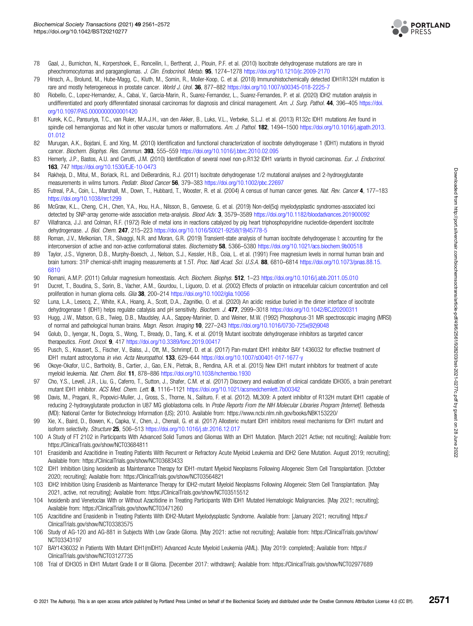

- <span id="page-10-0"></span>78 Gaal, J., Burnichon, N., Korpershoek, E., Ronceilin, I., Bertherat, J., Plouin, P.F. et al. (2010) Isocitrate dehydrogenase mutations are rare in pheochromocytomas and paragangliomas. J. Clin. Endocrinol. Metab. 95, 1274–1278 <https://doi.org/10.1210/jc.2009-2170>
- 79 Hinsch, A., Brolund, M., Hube-Magg, C., Kluth, M., Somin, R., Moller-Koop, C. et al. (2018) Immunohistochemically detected IDH1R132H mutation is rare and mostly heterogeneous in prostate cancer. World J. Urol. 36, 877-882 <https://doi.org/10.1007/s00345-018-2225-7>
- 80 Riobello, C., Lopez-Hernandez, A., Cabai, V., Garcia-Marin, R., Suarez-Fernandez, L., Suarez-Fernandes, P. et al. (2020) IDH2 mutation analysis in undifferentiated and poorly differentiated sinonasal carcinomas for diagnosis and clinical management. Am. J. Surg. Pathol. 44, 396-405 [https://doi.](https://doi.org/10.1097/PAS.0000000000001420) [org/10.1097/PAS.0000000000001420](https://doi.org/10.1097/PAS.0000000000001420)
- 81 Kurek, K.C., Pansuriya, T.C., van Ruler, M.A.J.H., van den Akker, B., Luks, V.L., Verbeke, S.L.J. et al. (2013) R132c IDH1 mutations Are found in spindle cell hemangiomas and Not in other vascular tumors or malformations. Am. J. Pathol. 182, 1494–1500 [https://doi.org/10.1016/j.ajpath.2013.](https://doi.org/10.1016/j.ajpath.2013.01.012) [01.012](https://doi.org/10.1016/j.ajpath.2013.01.012)
- 82 Murugan, A.K., Bojdani, E. and Xing, M. (2010) Identification and functional characterization of isocitrate dehydrogenase 1 (IDH1) mutations in thyroid cancer. Biochem. Biophys. Res. Commun. 393, 555–559 <https://doi.org/10.1016/j.bbrc.2010.02.095>
- 83 Hemerly, J.P., Bastos, A.U. and Cerutti, J.M. (2010) Identification of several novel non-p.R132 IDH1 variants in thyroid carcinomas. Eur. J. Endocrinol. 163, 747 <https://doi.org/10.1530/EJE-10-0473>
- 84 Rakheja, D., Mitui, M., Boriack, R.L. and DeBerardinis, R.J. (2011) Isocitrate dehydrogenase 1/2 mutational analyses and 2-hydroxyglutarate measurements in wilms tumors. Pediatr. Blood Cancer 56, 379-383 <https://doi.org/10.1002/pbc.22697>
- 85 Futreal, P.A., Coin, L., Marshall, M., Down, T., Hubbard, T., Wooster, R. et al. (2004) A census of human cancer genes. Nat. Rev. Cancer 4, 177-183 <https://doi.org/10.1038/nrc1299>
- 86 McGraw, K.L., Cheng, C.H., Chen, Y.A., Hou, H.A., Nilsson, B., Genovese, G. et al. (2019) Non-del(5q) myelodysplastic syndromes-associated loci detected by SNP-array genome-wide association meta-analysis. Blood Adv. 3, 3579–3589 <https://doi.org/10.1182/bloodadvances.201900092>
- 87 Villafranca, J.J. and Colman, R.F. (1972) Role of metal ions in reactions catalyzed by pig heart triphosphopyridine nucleotide-dependent isocitrate dehydrogenase. J. Biol. Chem. 247, 215–223 [https://doi.org/10.1016/S0021-9258\(19\)45778-5](https://doi.org/10.1016/S0021-9258(19)45778-5)
- 88 Roman, J.V., Melkonian, T.R., Silvaggi, N.R. and Moran, G.R. (2019) Transient-state analysis of human isocitrate dehydrogenase I: accounting for the interconversion of active and non-active conformational states. Biochemistry 58, 5366-5380 <https://doi.org/10.1021/acs.biochem.9b00518>
- 89 Taylor, J.S., Vigneron, D.B., Murphy-Boesch, J., Nelson, S.J., Kessler, H.B., Coia, L. et al. (1991) Free magnesium levels in normal human brain and brain tumors: 31P chemical-shift imaging measurements at 1.5T. Proc. Natl Acad. Sci. U.S.A. 88, 6810–6814 [https://doi.org/10.1073/pnas.88.15.](https://doi.org/10.1073/pnas.88.15.6810) [6810](https://doi.org/10.1073/pnas.88.15.6810)
- 90 Romani, A.M.P. (2011) Cellular magnesium homeostasis. Arch. Biochem. Biophys. 512, 1-23 <https://doi.org/10.1016/j.abb.2011.05.010>
- 91 Ducret, T., Boudina, S., Sorin, B., Vacher, A.M., Gourdou, I., Liguoro, D. et al. (2002) Effects of prolactin on intracellular calcium concentration and cell proliferation in human glioma cells. Glia 38, 200-214 <https://doi.org/10.1002/glia.10056>
- 92 Luna, L.A., Lesecq, Z., White, K.A., Hoang, A., Scott, D.A., Zagnitko, O. et al. (2020) An acidic residue buried in the dimer interface of isocitrate dehydrogenase 1 (IDH1) helps regulate catalysis and pH sensitivity. Biochem. J. 477, 2999–3018 <https://doi.org/10.1042/BCJ20200311>
- 93 Hugg, J.W., Matson, G.B., Twieg, D.B., Maudsley, A.A., Sappey-Marinier, D. and Weiner, M.W. (1992) Phosphorus-31 MR spectroscopic imaging (MRSI) of normal and pathological human brains. Magn. Reson. Imaging 10, 227–243 [https://doi.org/10.1016/0730-725x\(92\)9048](https://doi.org/10.1016/0730-725x(92)9048)
- 94 Golub, D., Iyengar, N., Dogra, S., Wong, T., Bready, D., Tang, K. et al. (2019) Mutant isocitrate dehydrogenase inhibitors as targeted cancer therapeutics. Front. Oncol. 9, 417 <https://doi.org/10.3389/fonc.2019.00417>
- 95 Pusch, S., Krausert, S., Fischer, V., Balss, J., Ott, M., Schrimpf, D. et al. (2017) Pan-mutant IDH1 inhibitor BAY 1436032 for effective treatment of IDH1 mutant astrocytoma in vivo. Acta Neuropathol. 133, 629–644 <https://doi.org/10.1007/s00401-017-1677-y>
- 96 Okoye-Okafor, U.C., Bartholdy, B., Cartier, J., Gao, E.N., Pietrak, B., Rendina, A.R. et al. (2015) New IDH1 mutant inhibitors for treatment of acute myeloid leukemia. Nat. Chem. Biol. 11, 878–886 <https://doi.org/10.1038/nchembio.1930>
- 97 Cho, Y.S., Levell, J.R., Liu, G., Caferro, T., Sutton, J., Shafer, C.M. et al. (2017) Discovery and evaluation of clinical candidate IDH305, a brain penetrant mutant IDH1 inhibitor. ACS Med. Chem. Lett. 8, 1116-1121 <https://doi.org/10.1021/acsmedchemlett.7b00342>
- 98 Davis, M., Pragani, R., Popovici-Muller, J., Gross, S., Thorne, N., Salituro, F. et al. (2012). ML309: A potent inhibitor of R132H mutant IDH1 capable of reducing 2-hydroxyglutarate production in U87 MG glioblastoma cells. In Probe Reports From the NIH Molecular Libraries Program [Internet]. Bethesda (MD): National Center for Biotechnology Information (US); 2010. Available from:<https://www.ncbi.nlm.nih.gov/books/NBK153220/>
- 99 Xie, X., Baird, D., Bowen, K., Capka, V., Chen, J., Chenail, G. et al. (2017) Allosteric mutant IDH1 inhibitors reveal mechanisms for IDH1 mutant and isoform selectivity. Structure 25, 506–513 <https://doi.org/10.1016/j.str.2016.12.017>
- 100 A Study of FT 2102 in Participants With Advanced Solid Tumors and Gliomas With an IDH1 Mutation. [March 2021 Active; not recuiting]; Available from: <https://ClinicalTrials.gov/show/NCT03684811>
- 101 Enasidenib and Azacitidine in Treating Patients With Recurrent or Refractory Acute Myeloid Leukemia and IDH2 Gene Mutation. August 2019; recruiting]; Available from:<https://ClinicalTrials.gov/show/NCT03683433>
- 102 IDH1 Inhibition Using Ivosidenib as Maintenance Therapy for IDH1-mutant Myeloid Neoplasms Following Allogeneic Stem Cell Transplantation. [October 2020; recruiting]; Available from:<https://ClinicalTrials.gov/show/NCT03564821>
- 103 IDH2 Inhibition Using Enasidenib as Maintenance Therapy for IDH2-mutant Myeloid Neoplasms Following Allogeneic Stem Cell Transplantation. [May 2021, active, not recruiting]; Available from:<https://ClinicalTrials.gov/show/NCT03515512>
- 104 Ivosidenib and Venetoclax With or Without Azacitidine in Treating Participants With IDH1 Mutated Hematologic Malignancies. [May 2021; recruiting]; Available from:<https://ClinicalTrials.gov/show/NCT03471260>
- 105 Azacitidine and Enasidenib in Treating Patients With IDH2-Mutant Myelodysplastic Syndrome. Available from: [January 2021; recruiting] [https://](https://ClinicalTrials.gov/show/NCT03383575) [ClinicalTrials.gov/show/NCT03383575](https://ClinicalTrials.gov/show/NCT03383575)
- 106 Study of AG-120 and AG-881 in Subjects With Low Grade Glioma. [May 2021: active not recruiting]; Available from: [https://ClinicalTrials.gov/show/](https://ClinicalTrials.gov/show/NCT03343197) [NCT03343197](https://ClinicalTrials.gov/show/NCT03343197)
- 107 BAY1436032 in Patients With Mutant IDH1(mIDH1) Advanced Acute Myeloid Leukemia (AML). [May 2019: completed]; Available from: [https://](https://ClinicalTrials.gov/show/NCT03127735) [ClinicalTrials.gov/show/NCT03127735](https://ClinicalTrials.gov/show/NCT03127735)
- 108 Trial of IDH305 in IDH1 Mutant Grade II or III Glioma. [December 2017: withdrawn]; Available from:<https://ClinicalTrials.gov/show/NCT02977689>